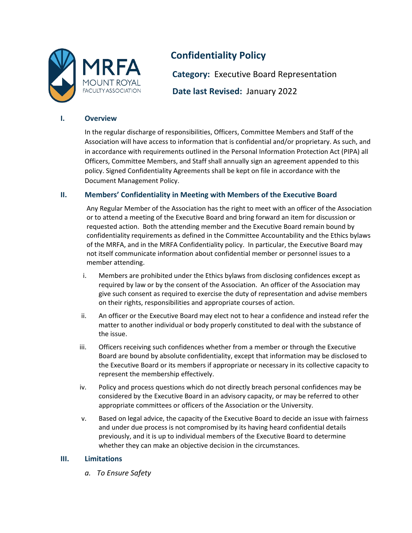

# **Confidentiality Policy**

**Category:** Executive Board Representation **Date last Revised:** January 2022

## **I. Overview**

In the regular discharge of responsibilities, Officers, Committee Members and Staff of the Association will have access to information that is confidential and/or proprietary. As such, and in accordance with requirements outlined in the Personal Information Protection Act (PIPA) all Officers, Committee Members, and Staff shall annually sign an agreement appended to this policy. Signed Confidentiality Agreements shall be kept on file in accordance with the Document Management Policy.

# **II. Members' Confidentiality in Meeting with Members of the Executive Board**

Any Regular Member of the Association has the right to meet with an officer of the Association or to attend a meeting of the Executive Board and bring forward an item for discussion or requested action. Both the attending member and the Executive Board remain bound by confidentiality requirements as defined in the Committee Accountability and the Ethics bylaws of the MRFA, and in the MRFA Confidentiality policy. In particular, the Executive Board may not itself communicate information about confidential member or personnel issues to a member attending.

- i. Members are prohibited under the Ethics bylaws from disclosing confidences except as required by law or by the consent of the Association. An officer of the Association may give such consent as required to exercise the duty of representation and advise members on their rights, responsibilities and appropriate courses of action.
- ii. An officer or the Executive Board may elect not to hear a confidence and instead refer the matter to another individual or body properly constituted to deal with the substance of the issue.
- iii. Officers receiving such confidences whether from a member or through the Executive Board are bound by absolute confidentiality, except that information may be disclosed to the Executive Board or its members if appropriate or necessary in its collective capacity to represent the membership effectively.
- iv. Policy and process questions which do not directly breach personal confidences may be considered by the Executive Board in an advisory capacity, or may be referred to other appropriate committees or officers of the Association or the University.
- v. Based on legal advice, the capacity of the Executive Board to decide an issue with fairness and under due process is not compromised by its having heard confidential details previously, and it is up to individual members of the Executive Board to determine whether they can make an objective decision in the circumstances.

# **III. Limitations**

*a. To Ensure Safety*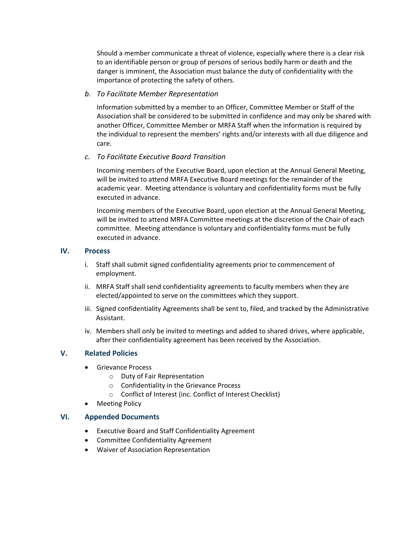Should a member communicate a threat of violence, especially where there is a clear risk to an identifiable person or group of persons of serious bodily harm or death and the danger is imminent, the Association must balance the duty of confidentiality with the importance of protecting the safety of others.

#### *b. To Facilitate Member Representation*

Information submitted by a member to an Officer, Committee Member or Staff of the Association shall be considered to be submitted in confidence and may only be shared with another Officer, Committee Member or MRFA Staff when the information is required by the individual to represent the members' rights and/or interests with all due diligence and care.

# *c. To Facilitate Executive Board Transition*

Incoming members of the Executive Board, upon election at the Annual General Meeting, will be invited to attend MRFA Executive Board meetings for the remainder of the academic year. Meeting attendance is voluntary and confidentiality forms must be fully executed in advance.

Incoming members of the Executive Board, upon election at the Annual General Meeting, will be invited to attend MRFA Committee meetings at the discretion of the Chair of each committee. Meeting attendance is voluntary and confidentiality forms must be fully executed in advance.

## **IV. Process**

- i. Staff shall submit signed confidentiality agreements prior to commencement of employment.
- ii. MRFA Staff shall send confidentiality agreements to faculty members when they are elected/appointed to serve on the committees which they support.
- iii. Signed confidentiality Agreements shall be sent to, filed, and tracked by the Administrative Assistant.
- iv. Members shall only be invited to meetings and added to shared drives, where applicable, after their confidentiality agreement has been received by the Association.

# **V. Related Policies**

- Grievance Process
	- o Duty of Fair Representation
	- o Confidentiality in the Grievance Process
	- o Conflict of Interest (inc. Conflict of Interest Checklist)
- **Meeting Policy**

#### **VI. Appended Documents**

- Executive Board and Staff Confidentiality Agreement
- Committee Confidentiality Agreement
- Waiver of Association Representation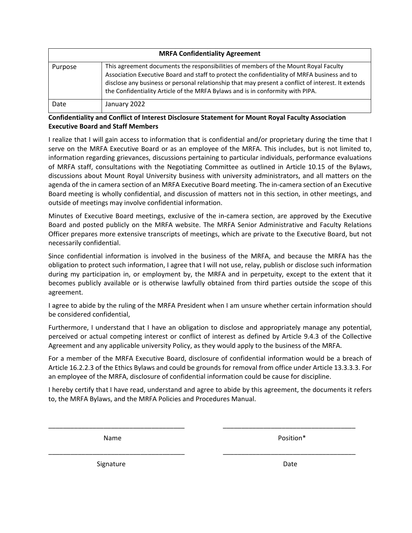| <b>MRFA Confidentiality Agreement</b> |                                                                                                                                                                                                                                                                                                                                                                             |  |
|---------------------------------------|-----------------------------------------------------------------------------------------------------------------------------------------------------------------------------------------------------------------------------------------------------------------------------------------------------------------------------------------------------------------------------|--|
| Purpose                               | This agreement documents the responsibilities of members of the Mount Royal Faculty<br>Association Executive Board and staff to protect the confidentiality of MRFA business and to<br>disclose any business or personal relationship that may present a conflict of interest. It extends<br>the Confidentiality Article of the MRFA Bylaws and is in conformity with PIPA. |  |
| Date                                  | January 2022                                                                                                                                                                                                                                                                                                                                                                |  |

# **Confidentiality and Conflict of Interest Disclosure Statement for Mount Royal Faculty Association Executive Board and Staff Members**

I realize that I will gain access to information that is confidential and/or proprietary during the time that I serve on the MRFA Executive Board or as an employee of the MRFA. This includes, but is not limited to, information regarding grievances, discussions pertaining to particular individuals, performance evaluations of MRFA staff, consultations with the Negotiating Committee as outlined in Article 10.15 of the Bylaws, discussions about Mount Royal University business with university administrators, and all matters on the agenda of the in camera section of an MRFA Executive Board meeting. The in-camera section of an Executive Board meeting is wholly confidential, and discussion of matters not in this section, in other meetings, and outside of meetings may involve confidential information.

Minutes of Executive Board meetings, exclusive of the in-camera section, are approved by the Executive Board and posted publicly on the MRFA website. The MRFA Senior Administrative and Faculty Relations Officer prepares more extensive transcripts of meetings, which are private to the Executive Board, but not necessarily confidential.

Since confidential information is involved in the business of the MRFA, and because the MRFA has the obligation to protect such information, I agree that I will not use, relay, publish or disclose such information during my participation in, or employment by, the MRFA and in perpetuity, except to the extent that it becomes publicly available or is otherwise lawfully obtained from third parties outside the scope of this agreement.

I agree to abide by the ruling of the MRFA President when I am unsure whether certain information should be considered confidential,

Furthermore, I understand that I have an obligation to disclose and appropriately manage any potential, perceived or actual competing interest or conflict of interest as defined by Article 9.4.3 of the Collective Agreement and any applicable university Policy, as they would apply to the business of the MRFA.

For a member of the MRFA Executive Board, disclosure of confidential information would be a breach of Article 16.2.2.3 of the Ethics Bylaws and could be grounds for removal from office under Article 13.3.3.3. For an employee of the MRFA, disclosure of confidential information could be cause for discipline.

I hereby certify that I have read, understand and agree to abide by this agreement, the documents it refers to, the MRFA Bylaws, and the MRFA Policies and Procedures Manual.

\_\_\_\_\_\_\_\_\_\_\_\_\_\_\_\_\_\_\_\_\_\_\_\_\_\_\_\_\_\_\_\_\_\_\_\_\_ \_\_\_\_\_\_\_\_\_\_\_\_\_\_\_\_\_\_\_\_\_\_\_\_\_\_\_\_\_\_\_\_\_\_\_\_

\_\_\_\_\_\_\_\_\_\_\_\_\_\_\_\_\_\_\_\_\_\_\_\_\_\_\_\_\_\_\_\_\_\_\_\_\_ \_\_\_\_\_\_\_\_\_\_\_\_\_\_\_\_\_\_\_\_\_\_\_\_\_\_\_\_\_\_\_\_\_\_\_\_

Name **Name Position**\*

Signature Date Date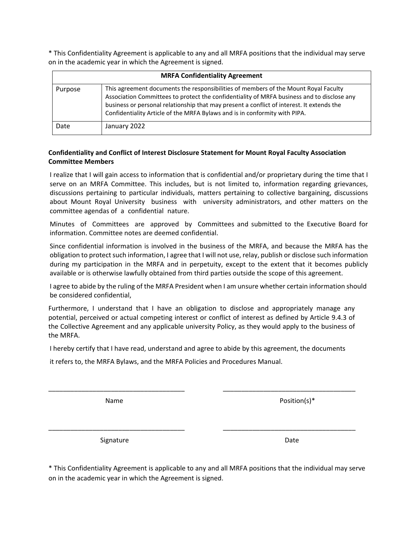\* This Confidentiality Agreement is applicable to any and all MRFA positions that the individual may serve on in the academic year in which the Agreement is signed.

| <b>MRFA Confidentiality Agreement</b> |                                                                                                                                                                                                                                                                                                                                                              |  |
|---------------------------------------|--------------------------------------------------------------------------------------------------------------------------------------------------------------------------------------------------------------------------------------------------------------------------------------------------------------------------------------------------------------|--|
| Purpose                               | This agreement documents the responsibilities of members of the Mount Royal Faculty<br>Association Committees to protect the confidentiality of MRFA business and to disclose any<br>business or personal relationship that may present a conflict of interest. It extends the<br>Confidentiality Article of the MRFA Bylaws and is in conformity with PIPA. |  |
| Date                                  | January 2022                                                                                                                                                                                                                                                                                                                                                 |  |

### **Confidentiality and Conflict of Interest Disclosure Statement for Mount Royal Faculty Association Committee Members**

I realize that I will gain access to information that is confidential and/or proprietary during the time that I serve on an MRFA Committee. This includes, but is not limited to, information regarding grievances, discussions pertaining to particular individuals, matters pertaining to collective bargaining, discussions about Mount Royal University business with university administrators, and other matters on the committee agendas of a confidential nature.

Minutes of Committees are approved by Committees and submitted to the Executive Board for information. Committee notes are deemed confidential.

Since confidential information is involved in the business of the MRFA, and because the MRFA has the obligation to protect such information, I agree that I will not use, relay, publish or disclose such information during my participation in the MRFA and in perpetuity, except to the extent that it becomes publicly available or is otherwise lawfully obtained from third parties outside the scope of this agreement.

I agree to abide by the ruling of the MRFA President when I am unsure whether certain information should be considered confidential,

Furthermore, I understand that I have an obligation to disclose and appropriately manage any potential, perceived or actual competing interest or conflict of interest as defined by Article 9.4.3 of the Collective Agreement and any applicable university Policy, as they would apply to the business of the MRFA.

I hereby certify that I have read, understand and agree to abide by this agreement, the documents

\_\_\_\_\_\_\_\_\_\_\_\_\_\_\_\_\_\_\_\_\_\_\_\_\_\_\_\_\_\_\_\_\_\_\_\_\_ \_\_\_\_\_\_\_\_\_\_\_\_\_\_\_\_\_\_\_\_\_\_\_\_\_\_\_\_\_\_\_\_\_\_\_\_

\_\_\_\_\_\_\_\_\_\_\_\_\_\_\_\_\_\_\_\_\_\_\_\_\_\_\_\_\_\_\_\_\_\_\_\_\_ \_\_\_\_\_\_\_\_\_\_\_\_\_\_\_\_\_\_\_\_\_\_\_\_\_\_\_\_\_\_\_\_\_\_\_\_

it refers to, the MRFA Bylaws, and the MRFA Policies and Procedures Manual.

Name Position(s)\*

Signature **Date Date Date Date** 

\* This Confidentiality Agreement is applicable to any and all MRFA positions that the individual may serve on in the academic year in which the Agreement is signed.